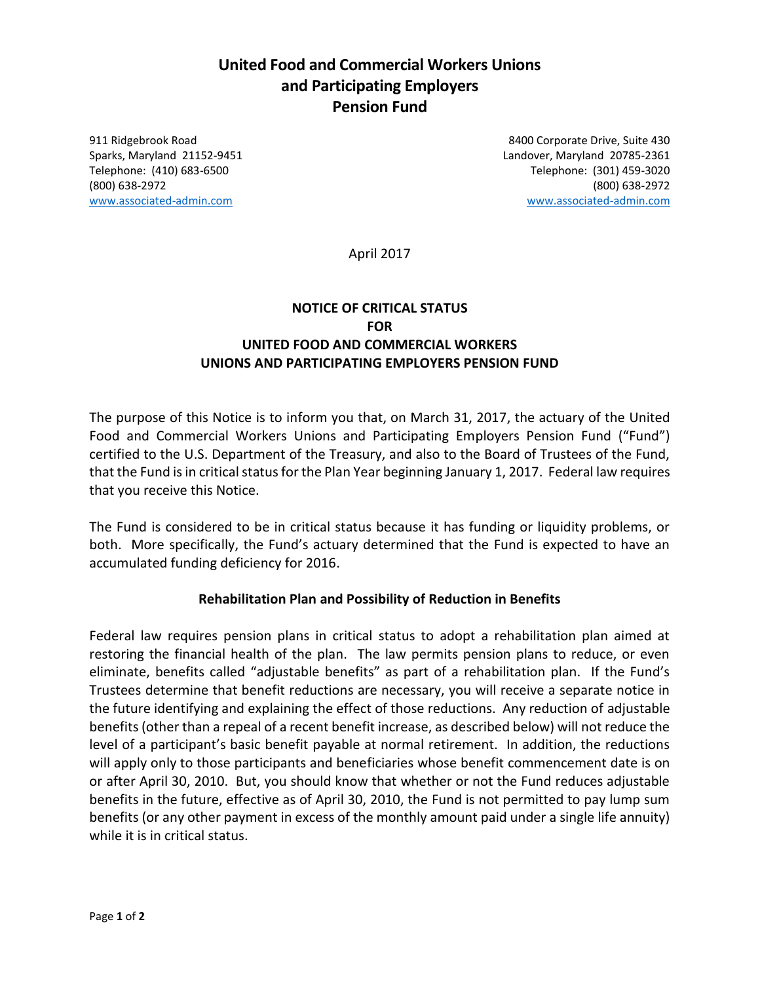# **United Food and Commercial Workers Unions and Participating Employers Pension Fund**

911 Ridgebrook Road 8400 Corporate Drive, Suite 430 Sparks, Maryland 21152-9451 Landover, Maryland 20785-2361 Telephone: (410) 683-6500 Telephone: (301) 459-3020 (800) 638-2972 (800) 638-2972 [www.associated-admin.com](http://www.associated-admin.com/) [www.associated-admin.com](http://www.associated-admin.com/)

April 2017

## **NOTICE OF CRITICAL STATUS FOR UNITED FOOD AND COMMERCIAL WORKERS UNIONS AND PARTICIPATING EMPLOYERS PENSION FUND**

The purpose of this Notice is to inform you that, on March 31, 2017, the actuary of the United Food and Commercial Workers Unions and Participating Employers Pension Fund ("Fund") certified to the U.S. Department of the Treasury, and also to the Board of Trustees of the Fund, that the Fund is in critical status for the Plan Year beginning January 1, 2017. Federal law requires that you receive this Notice.

The Fund is considered to be in critical status because it has funding or liquidity problems, or both. More specifically, the Fund's actuary determined that the Fund is expected to have an accumulated funding deficiency for 2016.

#### **Rehabilitation Plan and Possibility of Reduction in Benefits**

Federal law requires pension plans in critical status to adopt a rehabilitation plan aimed at restoring the financial health of the plan. The law permits pension plans to reduce, or even eliminate, benefits called "adjustable benefits" as part of a rehabilitation plan. If the Fund's Trustees determine that benefit reductions are necessary, you will receive a separate notice in the future identifying and explaining the effect of those reductions. Any reduction of adjustable benefits (other than a repeal of a recent benefit increase, as described below) will not reduce the level of a participant's basic benefit payable at normal retirement. In addition, the reductions will apply only to those participants and beneficiaries whose benefit commencement date is on or after April 30, 2010. But, you should know that whether or not the Fund reduces adjustable benefits in the future, effective as of April 30, 2010, the Fund is not permitted to pay lump sum benefits (or any other payment in excess of the monthly amount paid under a single life annuity) while it is in critical status.